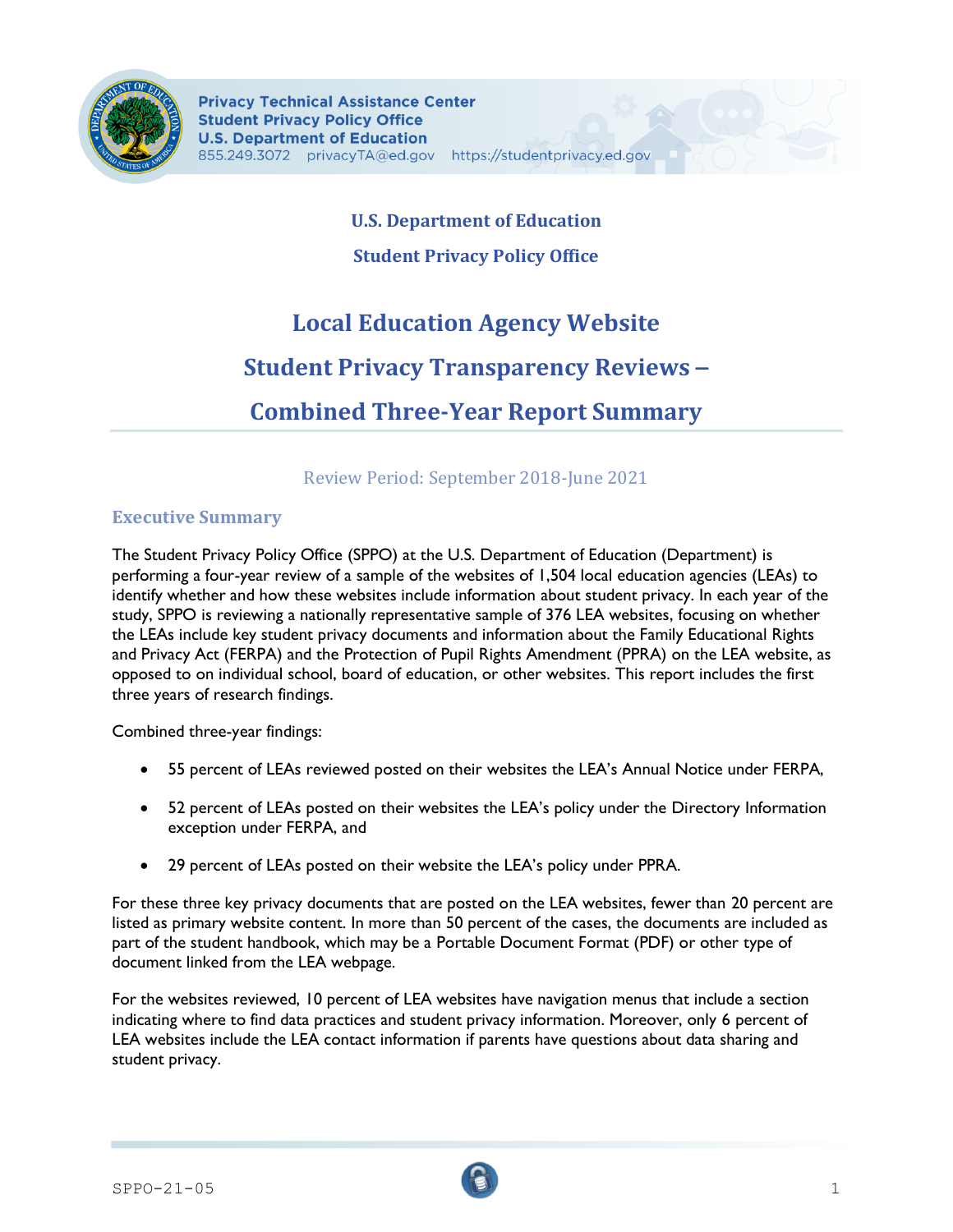

# **U.S. Department of Education**

# **Student Privacy Policy Office**

# **Local Education Agency Website Student Privacy Transparency Reviews** – **Combined Three-Year Report Summary**

# Review Period: September 2018-June 2021

# **Executive Summary**

The Student Privacy Policy Office (SPPO) at the U.S. Department of Education (Department) is performing a four-year review of a sample of the websites of 1,504 local education agencies (LEAs) to identify whether and how these websites include information about student privacy. In each year of the study, SPPO is reviewing a nationally representative sample of 376 LEA websites, focusing on whether the LEAs include key student privacy documents and information about the Family Educational Rights and Privacy Act (FERPA) and the Protection of Pupil Rights Amendment (PPRA) on the LEA website, as opposed to on individual school, board of education, or other websites. This report includes the first three years of research findings.

Combined three-year findings:

- 55 percent of LEAs reviewed posted on their websites the LEA's Annual Notice under FERPA,
- 52 percent of LEAs posted on their websites the LEA's policy under the Directory Information exception under FERPA, and
- 29 percent of LEAs posted on their website the LEA's policy under PPRA.

For these three key privacy documents that are posted on the LEA websites, fewer than 20 percent are listed as primary website content. In more than 50 percent of the cases, the documents are included as part of the student handbook, which may be a Portable Document Format (PDF) or other type of document linked from the LEA webpage.

For the websites reviewed, 10 percent of LEA websites have navigation menus that include a section indicating where to find data practices and student privacy information. Moreover, only 6 percent of LEA websites include the LEA contact information if parents have questions about data sharing and student privacy.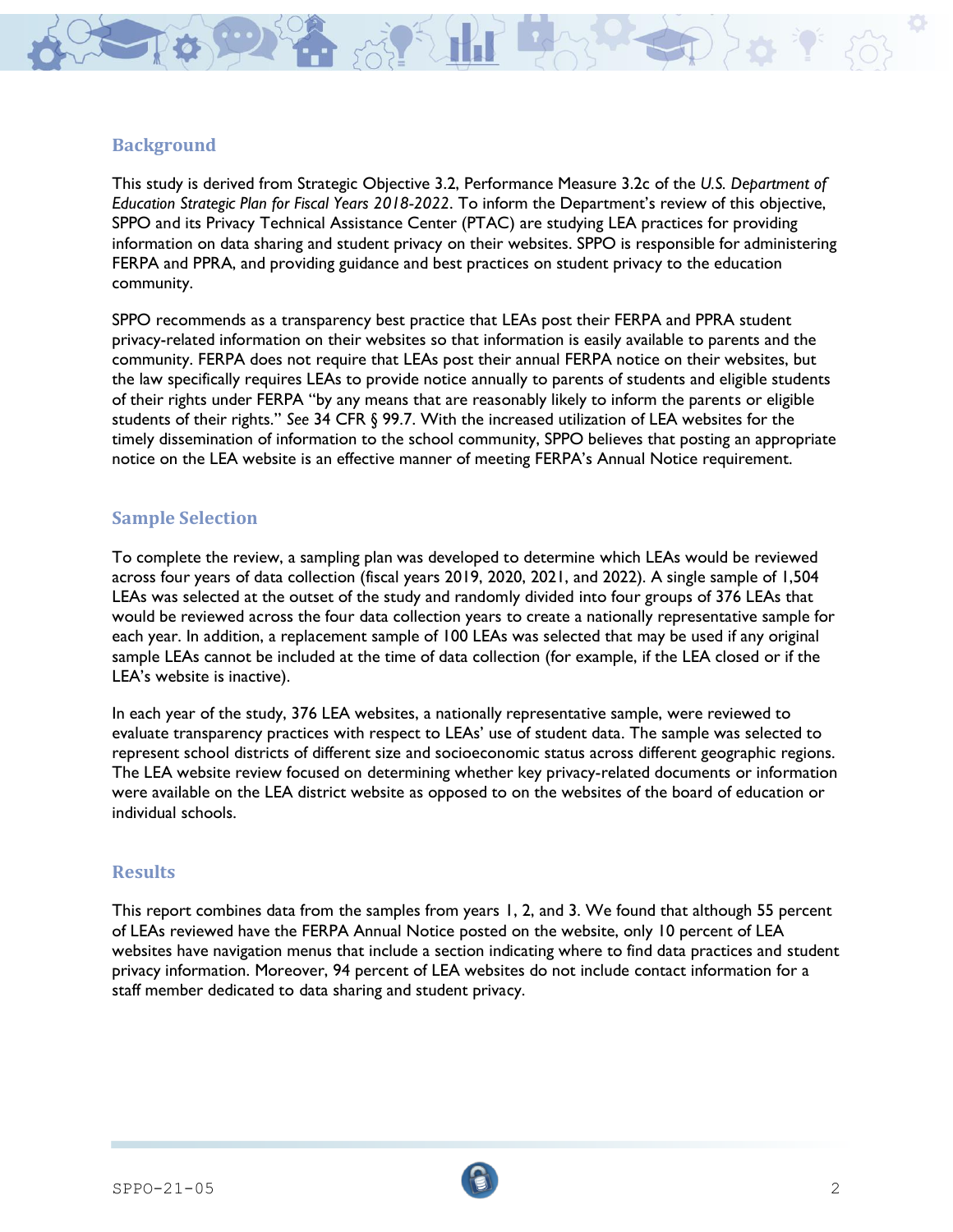

### **Background**

This study is derived from Strategic Objective 3.2, Performance Measure 3.2c of the *U.S. Department of Education Strategic Plan for Fiscal Years 2018-2022*. To inform the Department's review of this objective, SPPO and its Privacy Technical Assistance Center (PTAC) are studying LEA practices for providing information on data sharing and student privacy on their websites. SPPO is responsible for administering FERPA and PPRA, and providing guidance and best practices on student privacy to the education community.

SPPO recommends as a transparency best practice that LEAs post their FERPA and PPRA student privacy-related information on their websites so that information is easily available to parents and the community. FERPA does not require that LEAs post their annual FERPA notice on their websites, but the law specifically requires LEAs to provide notice annually to parents of students and eligible students of their rights under FERPA "by any means that are reasonably likely to inform the parents or eligible students of their rights." *See* 34 CFR § 99.7. With the increased utilization of LEA websites for the timely dissemination of information to the school community, SPPO believes that posting an appropriate notice on the LEA website is an effective manner of meeting FERPA's Annual Notice requirement.

### **Sample Selection**

To complete the review, a sampling plan was developed to determine which LEAs would be reviewed across four years of data collection (fiscal years 2019, 2020, 2021, and 2022). A single sample of 1,504 LEAs was selected at the outset of the study and randomly divided into four groups of 376 LEAs that would be reviewed across the four data collection years to create a nationally representative sample for each year. In addition, a replacement sample of 100 LEAs was selected that may be used if any original sample LEAs cannot be included at the time of data collection (for example, if the LEA closed or if the LEA's website is inactive).

In each year of the study, 376 LEA websites, a nationally representative sample, were reviewed to evaluate transparency practices with respect to LEAs' use of student data. The sample was selected to represent school districts of different size and socioeconomic status across different geographic regions. The LEA website review focused on determining whether key privacy-related documents or information were available on the LEA district website as opposed to on the websites of the board of education or individual schools.

#### **Results**

This report combines data from the samples from years 1, 2, and 3. We found that although 55 percent of LEAs reviewed have the FERPA Annual Notice posted on the website, only 10 percent of LEA websites have navigation menus that include a section indicating where to find data practices and student privacy information. Moreover, 94 percent of LEA websites do not include contact information for a staff member dedicated to data sharing and student privacy.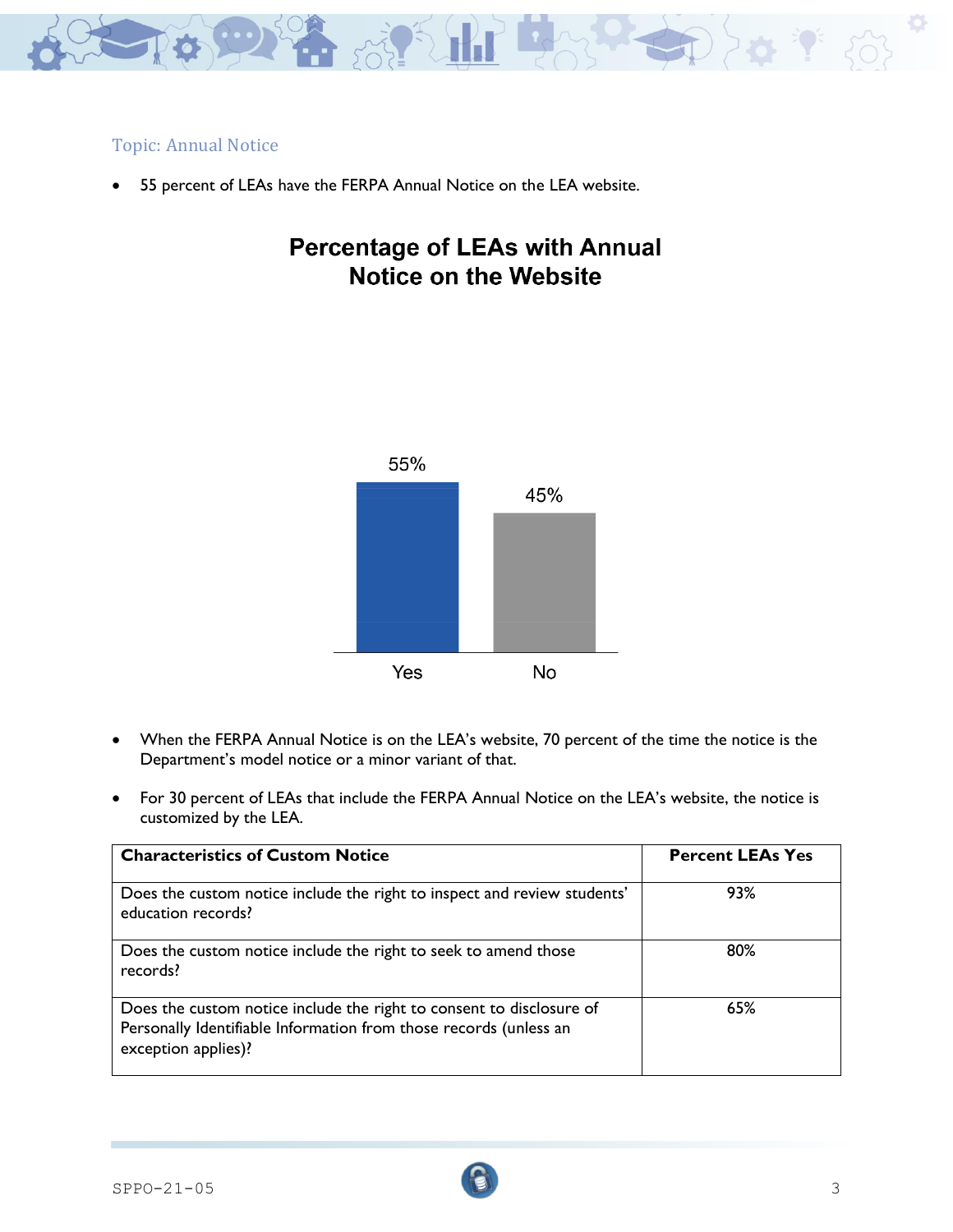

### Topic: Annual Notice

• 55 percent of LEAs have the FERPA Annual Notice on the LEA website.

# **Percentage of LEAs with Annual Notice on the Website**



- When the FERPA Annual Notice is on the LEA's website, 70 percent of the time the notice is the Department's model notice or a minor variant of that.
- For 30 percent of LEAs that include the FERPA Annual Notice on the LEA's website, the notice is customized by the LEA.

| <b>Characteristics of Custom Notice</b>                                                                                                                          | <b>Percent LEAs Yes</b> |
|------------------------------------------------------------------------------------------------------------------------------------------------------------------|-------------------------|
| Does the custom notice include the right to inspect and review students'<br>education records?                                                                   | 93%                     |
| Does the custom notice include the right to seek to amend those<br>records?                                                                                      | 80%                     |
| Does the custom notice include the right to consent to disclosure of<br>Personally Identifiable Information from those records (unless an<br>exception applies)? | 65%                     |

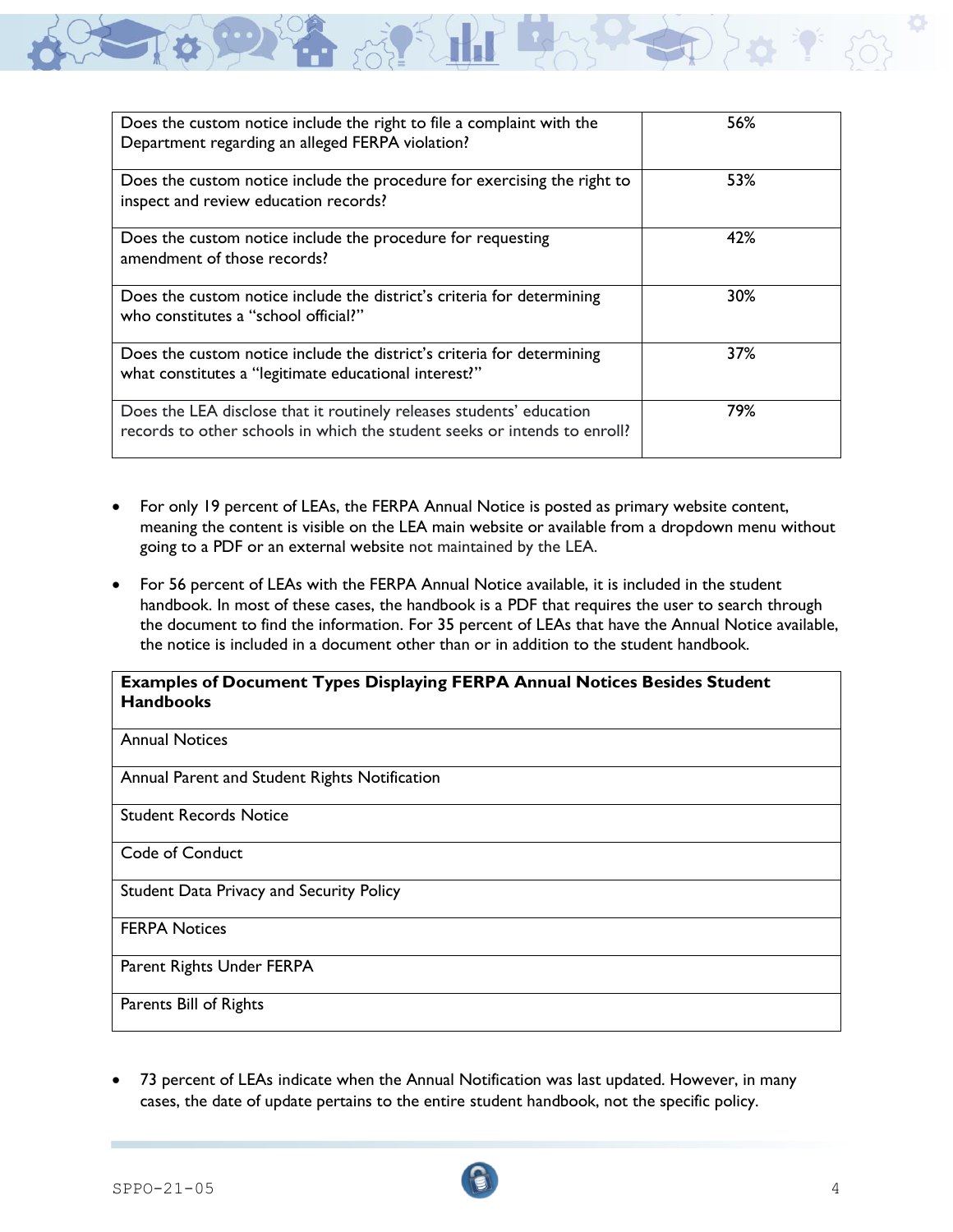| Does the custom notice include the right to file a complaint with the<br>Department regarding an alleged FERPA violation?                         | 56% |
|---------------------------------------------------------------------------------------------------------------------------------------------------|-----|
| Does the custom notice include the procedure for exercising the right to<br>inspect and review education records?                                 | 53% |
| Does the custom notice include the procedure for requesting<br>amendment of those records?                                                        | 42% |
| Does the custom notice include the district's criteria for determining<br>who constitutes a "school official?"                                    | 30% |
| Does the custom notice include the district's criteria for determining<br>what constitutes a "legitimate educational interest?"                   | 37% |
| Does the LEA disclose that it routinely releases students' education<br>records to other schools in which the student seeks or intends to enroll? | 79% |

- For only 19 percent of LEAs, the FERPA Annual Notice is posted as primary website content, meaning the content is visible on the LEA main website or available from a dropdown menu without going to a PDF or an external website not maintained by the LEA.
- For 56 percent of LEAs with the FERPA Annual Notice available, it is included in the student handbook. In most of these cases, the handbook is a PDF that requires the user to search through the document to find the information. For 35 percent of LEAs that have the Annual Notice available, the notice is included in a document other than or in addition to the student handbook.

#### **Examples of Document Types Displaying FERPA Annual Notices Besides Student Handbooks**

Annual Notices

Annual Parent and Student Rights Notification

Student Records Notice

Code of Conduct

Student Data Privacy and Security Policy

FERPA Notices

Parent Rights Under FERPA

Parents Bill of Rights

• 73 percent of LEAs indicate when the Annual Notification was last updated. However, in many cases, the date of update pertains to the entire student handbook, not the specific policy.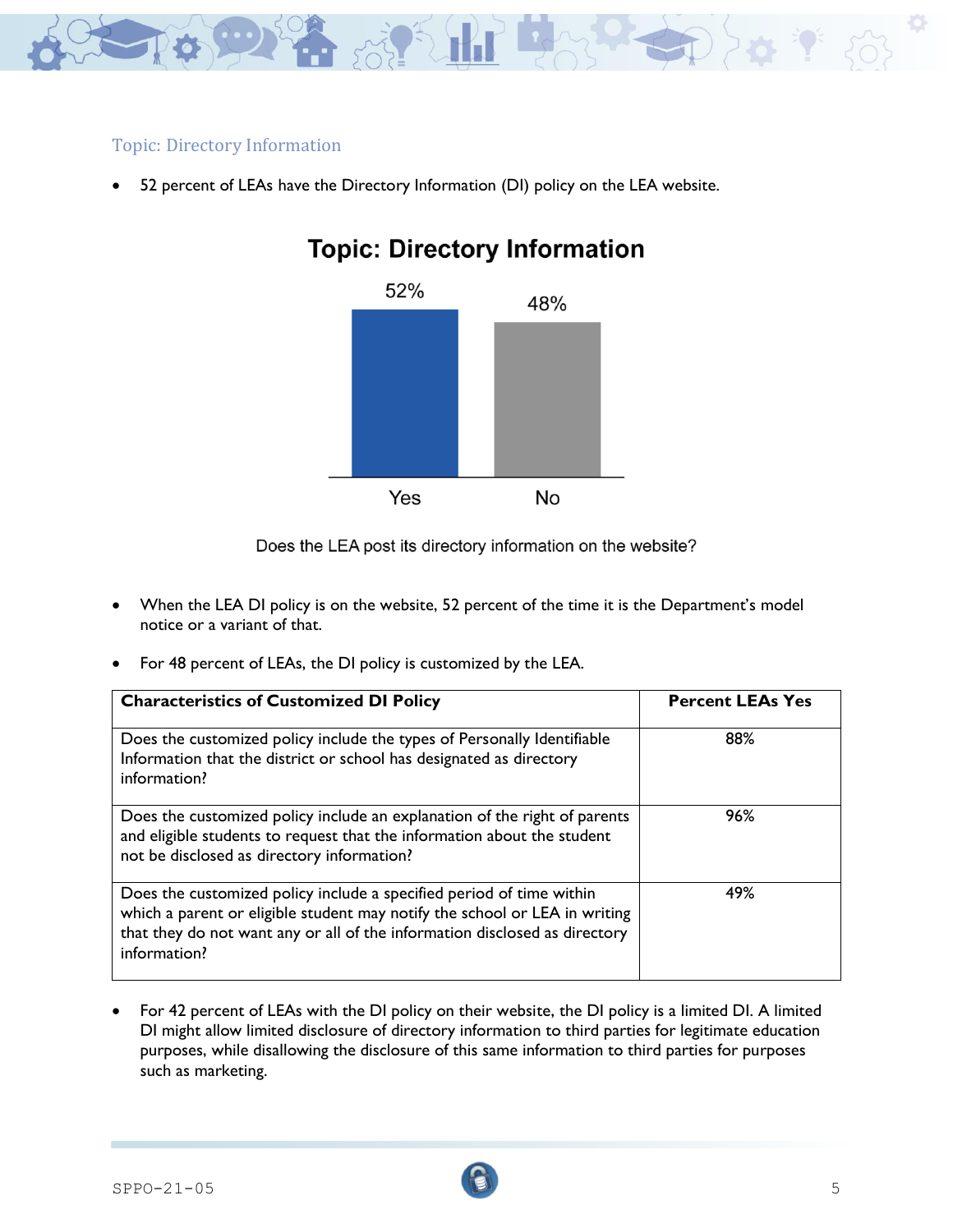

### Topic: Directory Information

52 percent of LEAs have the Directory Information (DI) policy on the LEA website.



# **Topic: Directory Information**

Does the LEA post its directory information on the website?

- When the LEA DI policy is on the website, 52 percent of the time it is the Department's model notice or a variant of that.
- For 48 percent of LEAs, the DI policy is customized by the LEA.

| <b>Characteristics of Customized DI Policy</b>                                                                                                                                                                                                   | <b>Percent LEAs Yes</b> |
|--------------------------------------------------------------------------------------------------------------------------------------------------------------------------------------------------------------------------------------------------|-------------------------|
| Does the customized policy include the types of Personally Identifiable<br>Information that the district or school has designated as directory<br>information?                                                                                   | 88%                     |
| Does the customized policy include an explanation of the right of parents<br>and eligible students to request that the information about the student<br>not be disclosed as directory information?                                               | 96%                     |
| Does the customized policy include a specified period of time within<br>which a parent or eligible student may notify the school or LEA in writing<br>that they do not want any or all of the information disclosed as directory<br>information? | 49%                     |

• For 42 percent of LEAs with the DI policy on their website, the DI policy is a limited DI. A limited DI might allow limited disclosure of directory information to third parties for legitimate education purposes, while disallowing the disclosure of this same information to third parties for purposes such as marketing.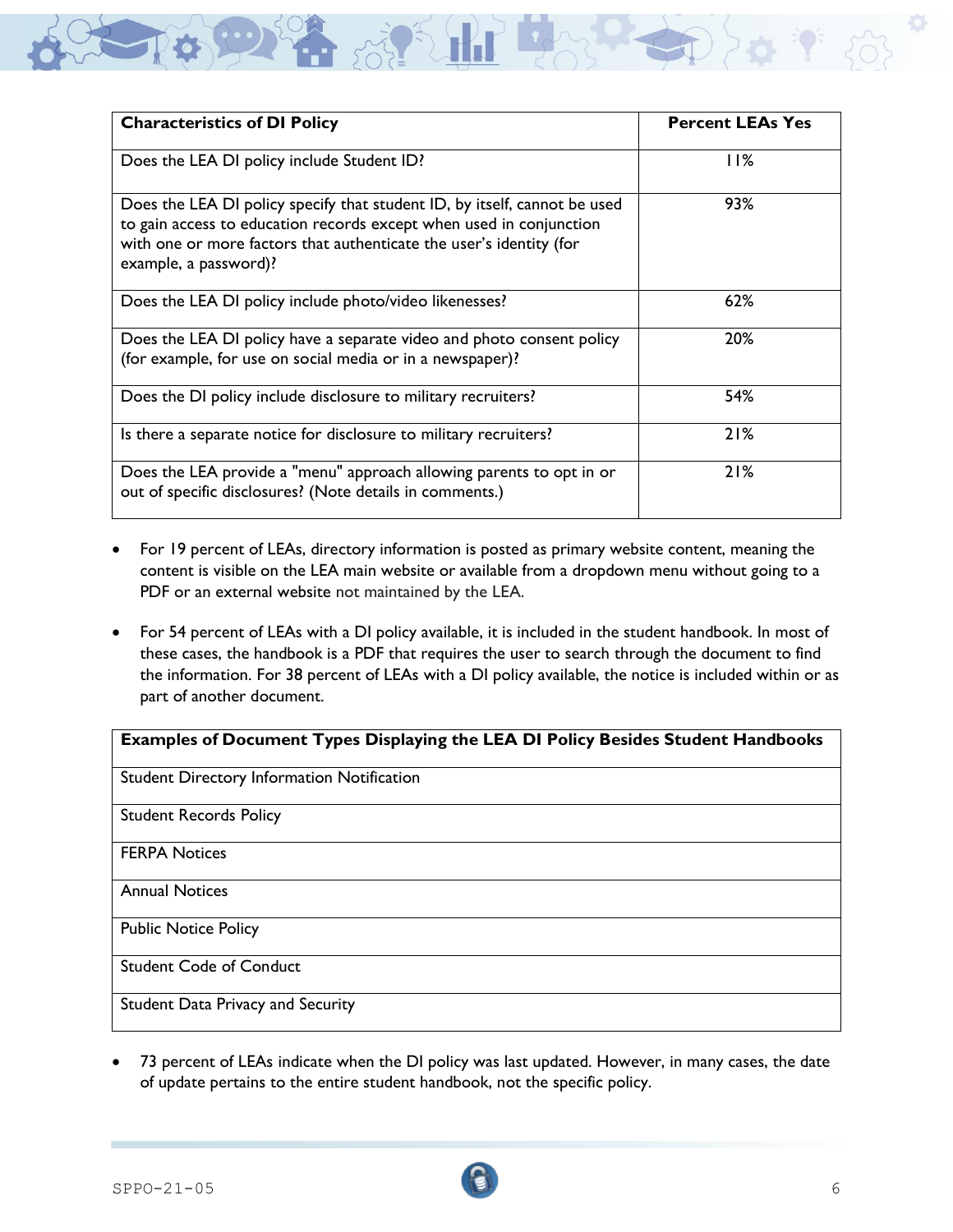

- For 19 percent of LEAs, directory information is posted as primary website content, meaning the content is visible on the LEA main website or available from a dropdown menu without going to a PDF or an external website not maintained by the LEA.
- For 54 percent of LEAs with a DI policy available, it is included in the student handbook. In most of these cases, the handbook is a PDF that requires the user to search through the document to find the information. For 38 percent of LEAs with a DI policy available, the notice is included within or as part of another document.

#### **Examples of Document Types Displaying the LEA DI Policy Besides Student Handbooks**

Student Directory Information Notification

Student Records Policy

FERPA Notices

Annual Notices

Public Notice Policy

Student Code of Conduct

Student Data Privacy and Security

• 73 percent of LEAs indicate when the DI policy was last updated. However, in many cases, the date of update pertains to the entire student handbook, not the specific policy.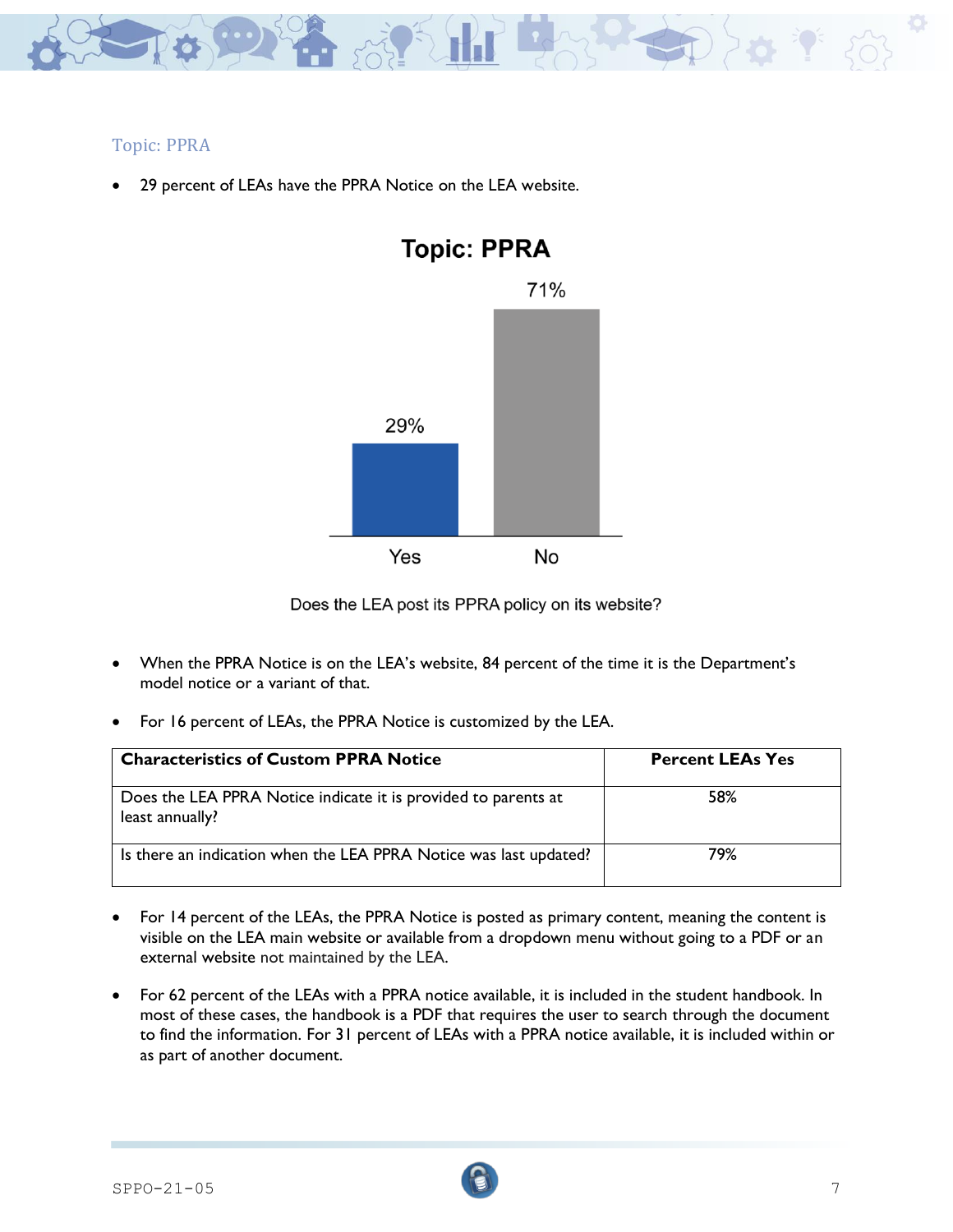

## Topic: PPRA

29 percent of LEAs have the PPRA Notice on the LEA website.



Does the LEA post its PPRA policy on its website?

- When the PPRA Notice is on the LEA's website, 84 percent of the time it is the Department's model notice or a variant of that.
- For 16 percent of LEAs, the PPRA Notice is customized by the LEA.

| <b>Characteristics of Custom PPRA Notice</b>                                      | <b>Percent LEAs Yes</b> |
|-----------------------------------------------------------------------------------|-------------------------|
| Does the LEA PPRA Notice indicate it is provided to parents at<br>least annually? | 58%                     |
| Is there an indication when the LEA PPRA Notice was last updated?                 | 79%                     |

- For 14 percent of the LEAs, the PPRA Notice is posted as primary content, meaning the content is visible on the LEA main website or available from a dropdown menu without going to a PDF or an external website not maintained by the LEA.
- For 62 percent of the LEAs with a PPRA notice available, it is included in the student handbook. In most of these cases, the handbook is a PDF that requires the user to search through the document to find the information. For 31 percent of LEAs with a PPRA notice available, it is included within or as part of another document.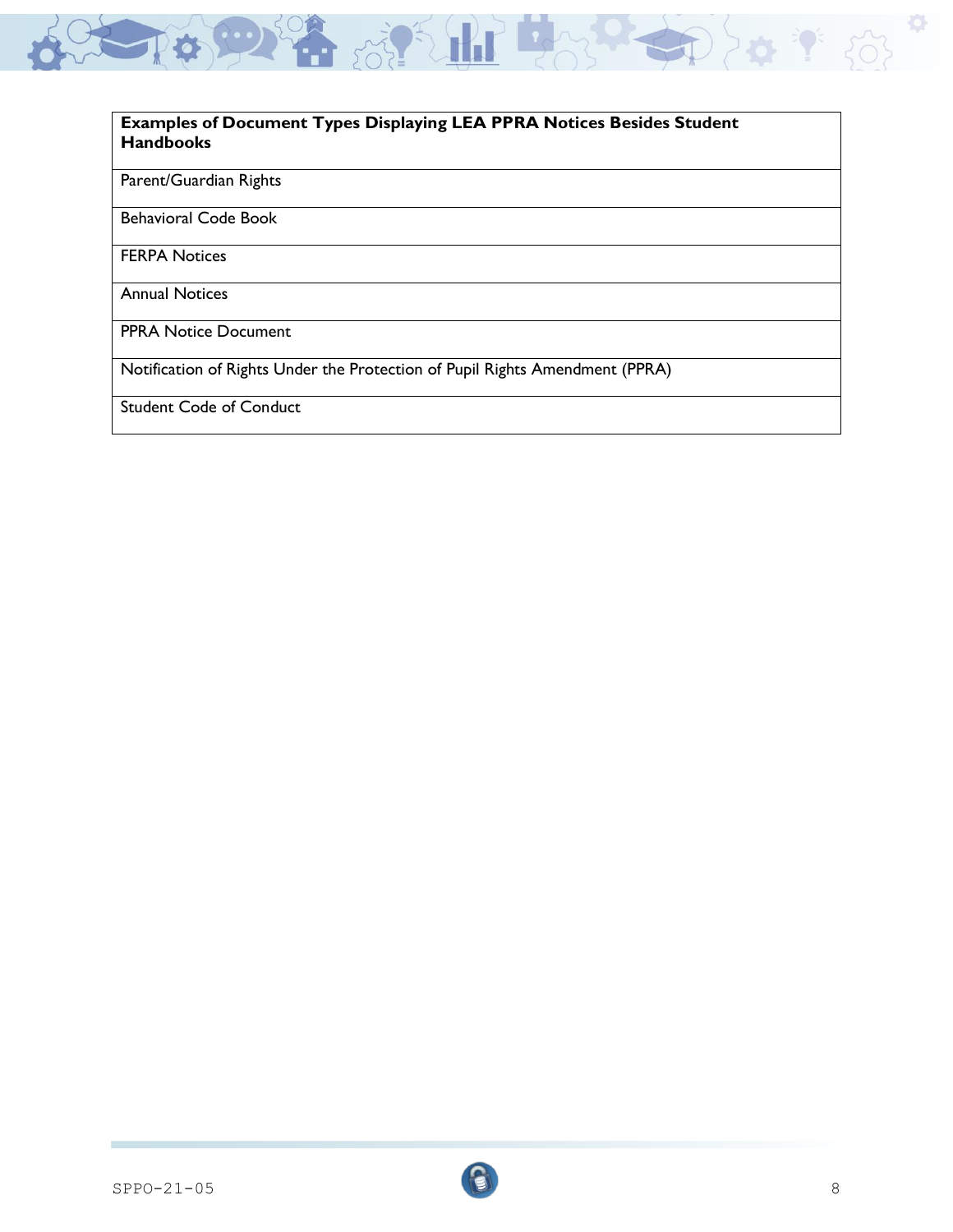

#### **Examples of Document Types Displaying LEA PPRA Notices Besides Student Handbooks**

### Parent/Guardian Rights

Behavioral Code Book

FERPA Notices

Annual Notices

PPRA Notice Document

Notification of Rights Under the Protection of Pupil Rights Amendment (PPRA)

Student Code of Conduct

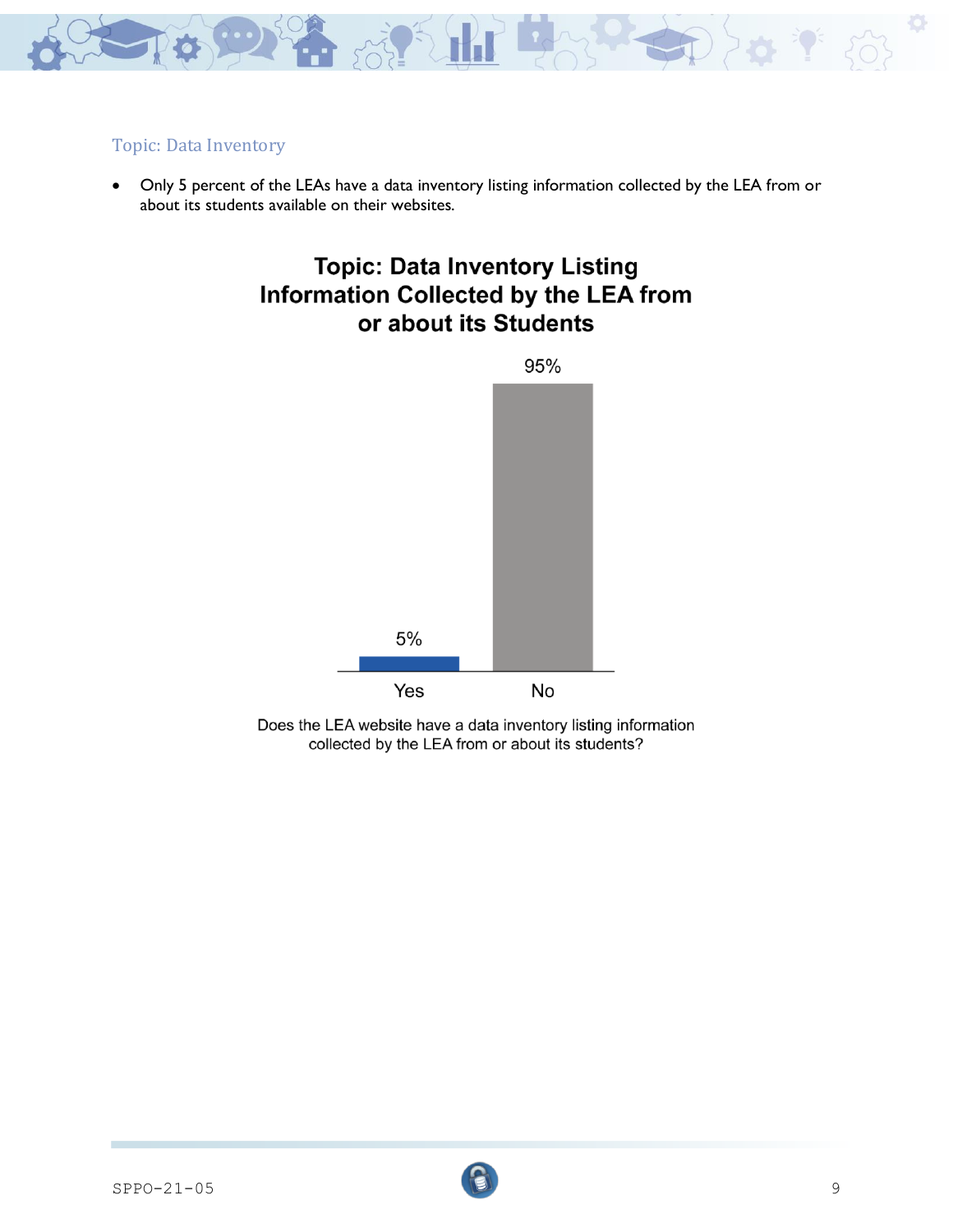

## Topic: Data Inventory

• Only 5 percent of the LEAs have a data inventory listing information collected by the LEA from or about its students available on their websites.

# **Topic: Data Inventory Listing Information Collected by the LEA from** or about its Students



Does the LEA website have a data inventory listing information collected by the LEA from or about its students?

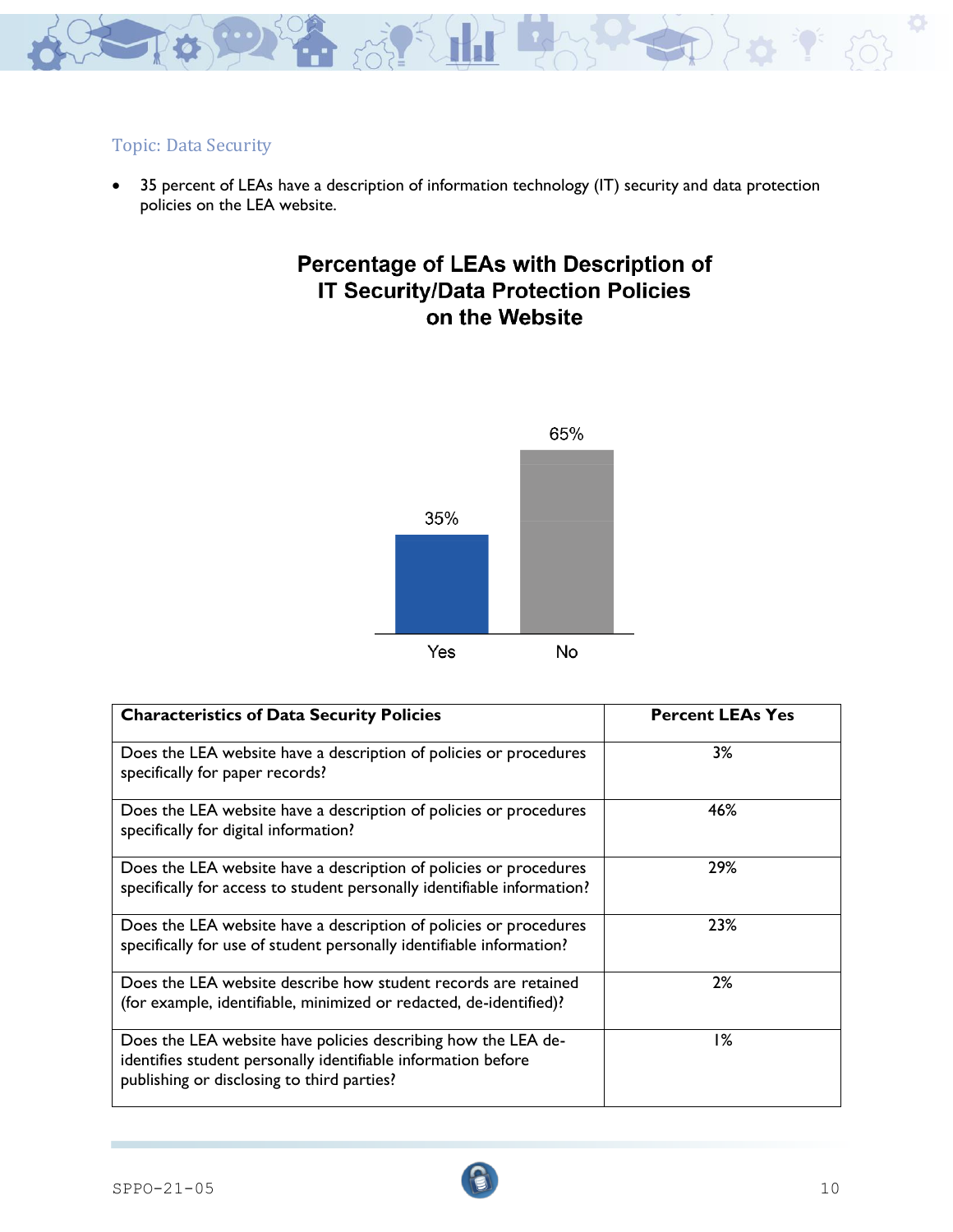

# Topic: Data Security

• 35 percent of LEAs have a description of information technology (IT) security and data protection policies on the LEA website.

# Percentage of LEAs with Description of **IT Security/Data Protection Policies** on the Website



| <b>Characteristics of Data Security Policies</b>                                                                                                                             | <b>Percent LEAs Yes</b> |
|------------------------------------------------------------------------------------------------------------------------------------------------------------------------------|-------------------------|
| Does the LEA website have a description of policies or procedures<br>specifically for paper records?                                                                         | 3%                      |
| Does the LEA website have a description of policies or procedures<br>specifically for digital information?                                                                   | 46%                     |
| Does the LEA website have a description of policies or procedures<br>specifically for access to student personally identifiable information?                                 | 29%                     |
| Does the LEA website have a description of policies or procedures<br>specifically for use of student personally identifiable information?                                    | 23%                     |
| Does the LEA website describe how student records are retained<br>(for example, identifiable, minimized or redacted, de-identified)?                                         | 2%                      |
| Does the LEA website have policies describing how the LEA de-<br>identifies student personally identifiable information before<br>publishing or disclosing to third parties? | 1%                      |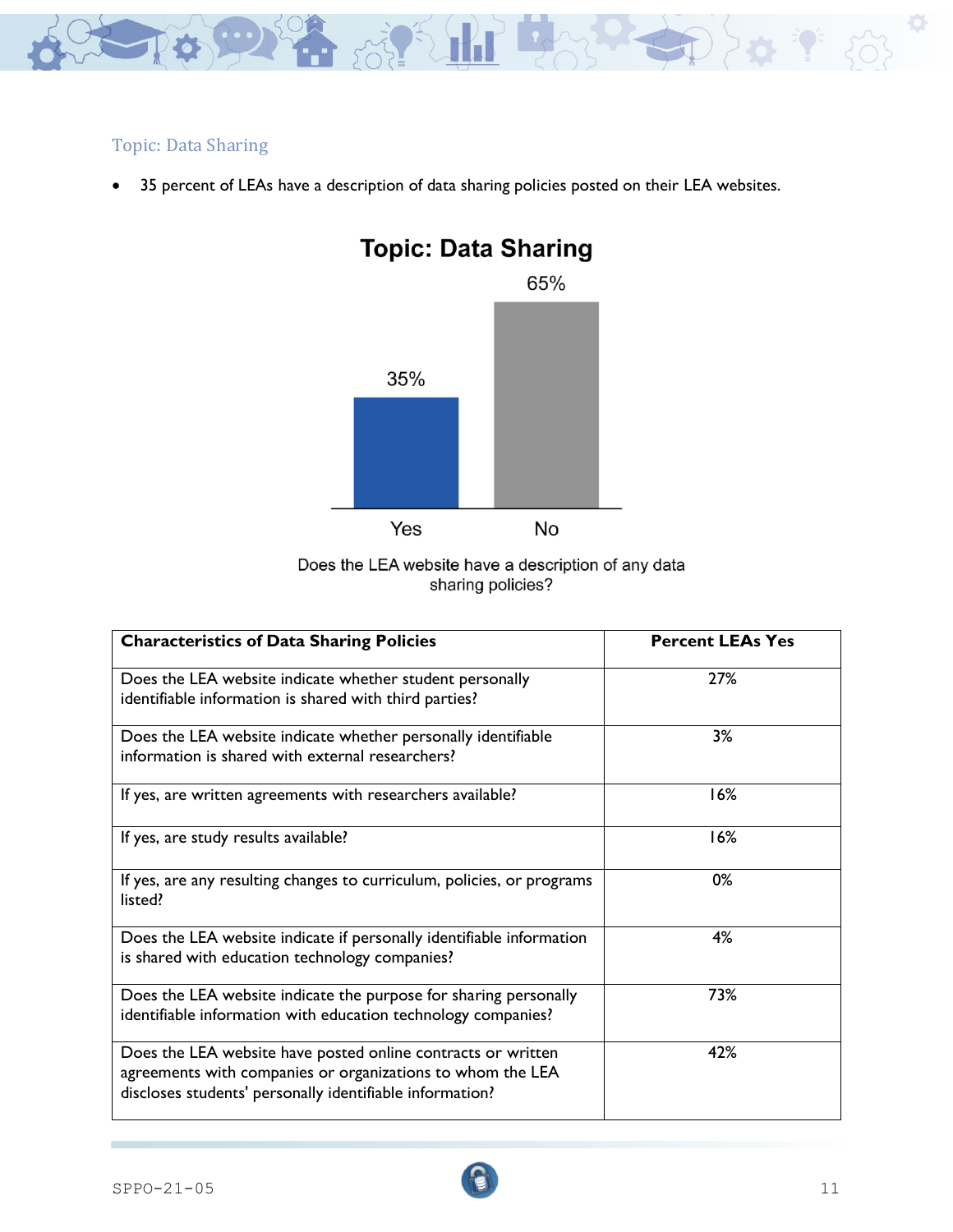

# Topic: Data Sharing

• 35 percent of LEAs have a description of data sharing policies posted on their LEA websites.





| <b>Characteristics of Data Sharing Policies</b>                                                                                                                                        | <b>Percent LEAs Yes</b> |
|----------------------------------------------------------------------------------------------------------------------------------------------------------------------------------------|-------------------------|
| Does the LEA website indicate whether student personally<br>identifiable information is shared with third parties?                                                                     | 27%                     |
| Does the LEA website indicate whether personally identifiable<br>information is shared with external researchers?                                                                      | 3%                      |
| If yes, are written agreements with researchers available?                                                                                                                             | 16%                     |
| If yes, are study results available?                                                                                                                                                   | 16%                     |
| If yes, are any resulting changes to curriculum, policies, or programs<br>listed?                                                                                                      | 0%                      |
| Does the LEA website indicate if personally identifiable information<br>is shared with education technology companies?                                                                 | 4%                      |
| Does the LEA website indicate the purpose for sharing personally<br>identifiable information with education technology companies?                                                      | 73%                     |
| Does the LEA website have posted online contracts or written<br>agreements with companies or organizations to whom the LEA<br>discloses students' personally identifiable information? | 42%                     |

 $SPPO-21-05$  11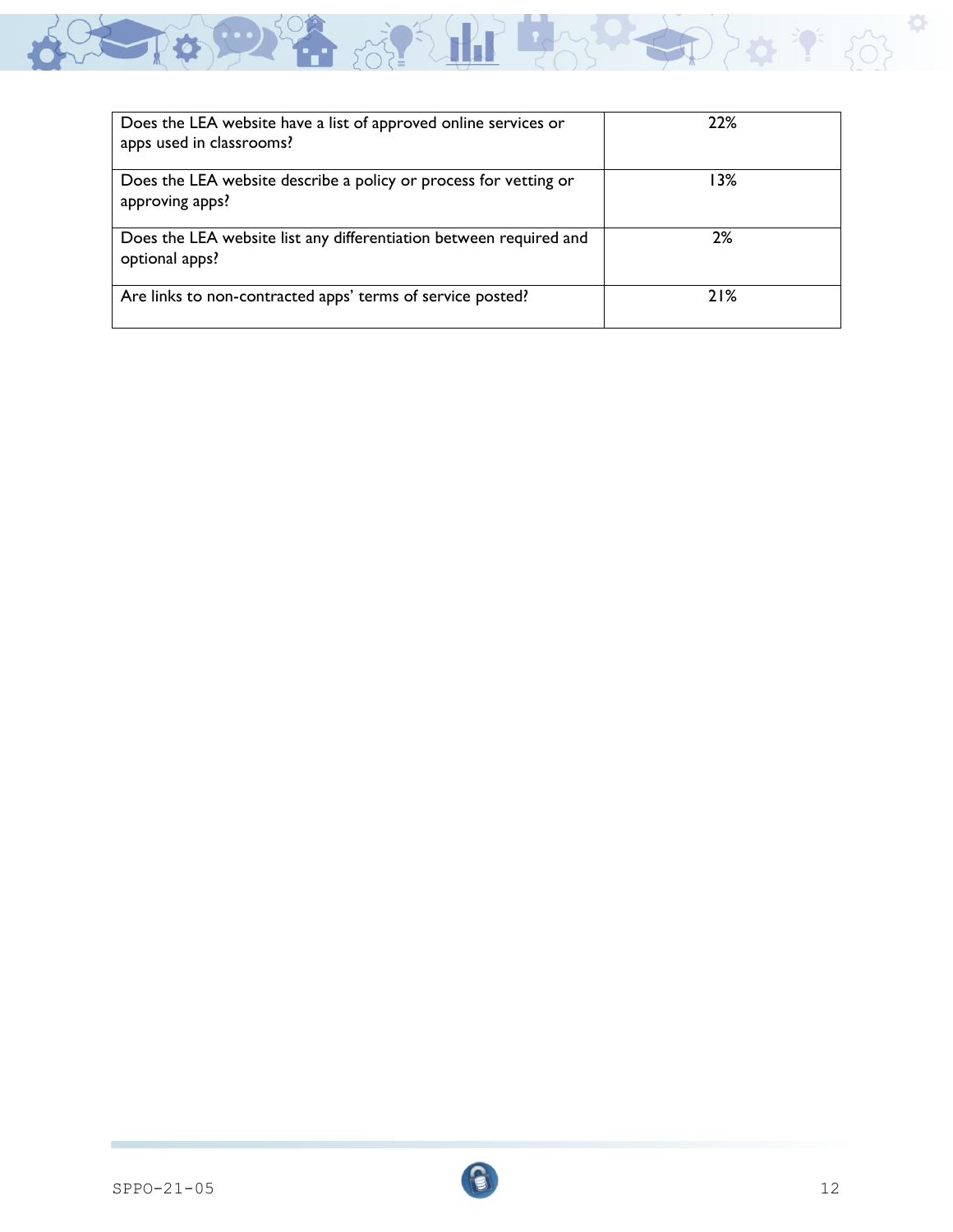

| Does the LEA website have a list of approved online services or<br>apps used in classrooms? | 22%  |
|---------------------------------------------------------------------------------------------|------|
| Does the LEA website describe a policy or process for vetting or<br>approving apps?         | ا 3% |
| Does the LEA website list any differentiation between required and<br>optional apps?        | 2%   |
| Are links to non-contracted apps' terms of service posted?                                  | 21%  |

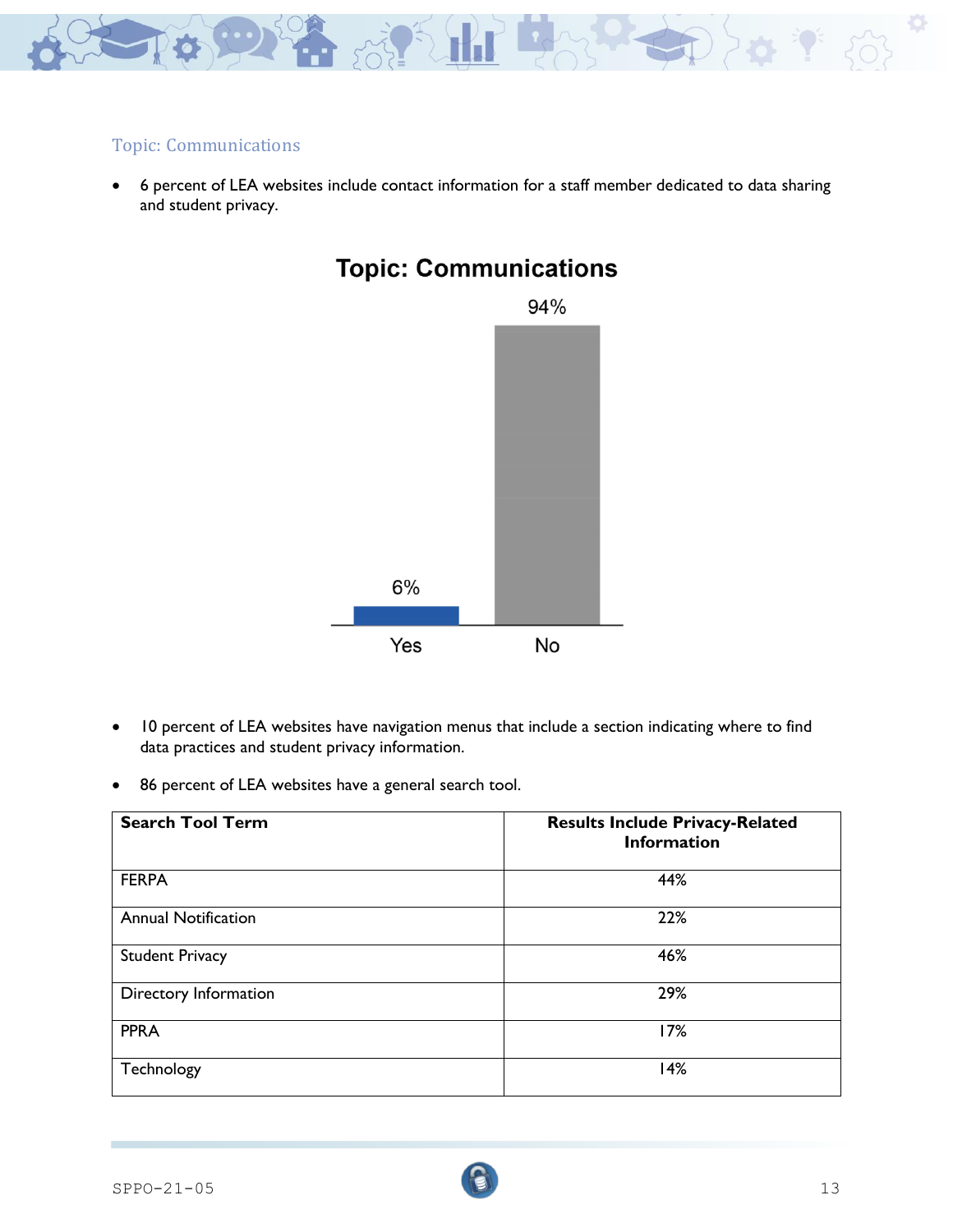

### Topic: Communications

• 6 percent of LEA websites include contact information for a staff member dedicated to data sharing and student privacy.



# **Topic: Communications**

- 10 percent of LEA websites have navigation menus that include a section indicating where to find data practices and student privacy information.
- 86 percent of LEA websites have a general search tool.

| <b>Search Tool Term</b>    | <b>Results Include Privacy-Related</b><br><b>Information</b> |
|----------------------------|--------------------------------------------------------------|
| <b>FERPA</b>               | 44%                                                          |
| <b>Annual Notification</b> | 22%                                                          |
| <b>Student Privacy</b>     | 46%                                                          |
| Directory Information      | 29%                                                          |
| <b>PPRA</b>                | 17%                                                          |
| Technology                 | 14%                                                          |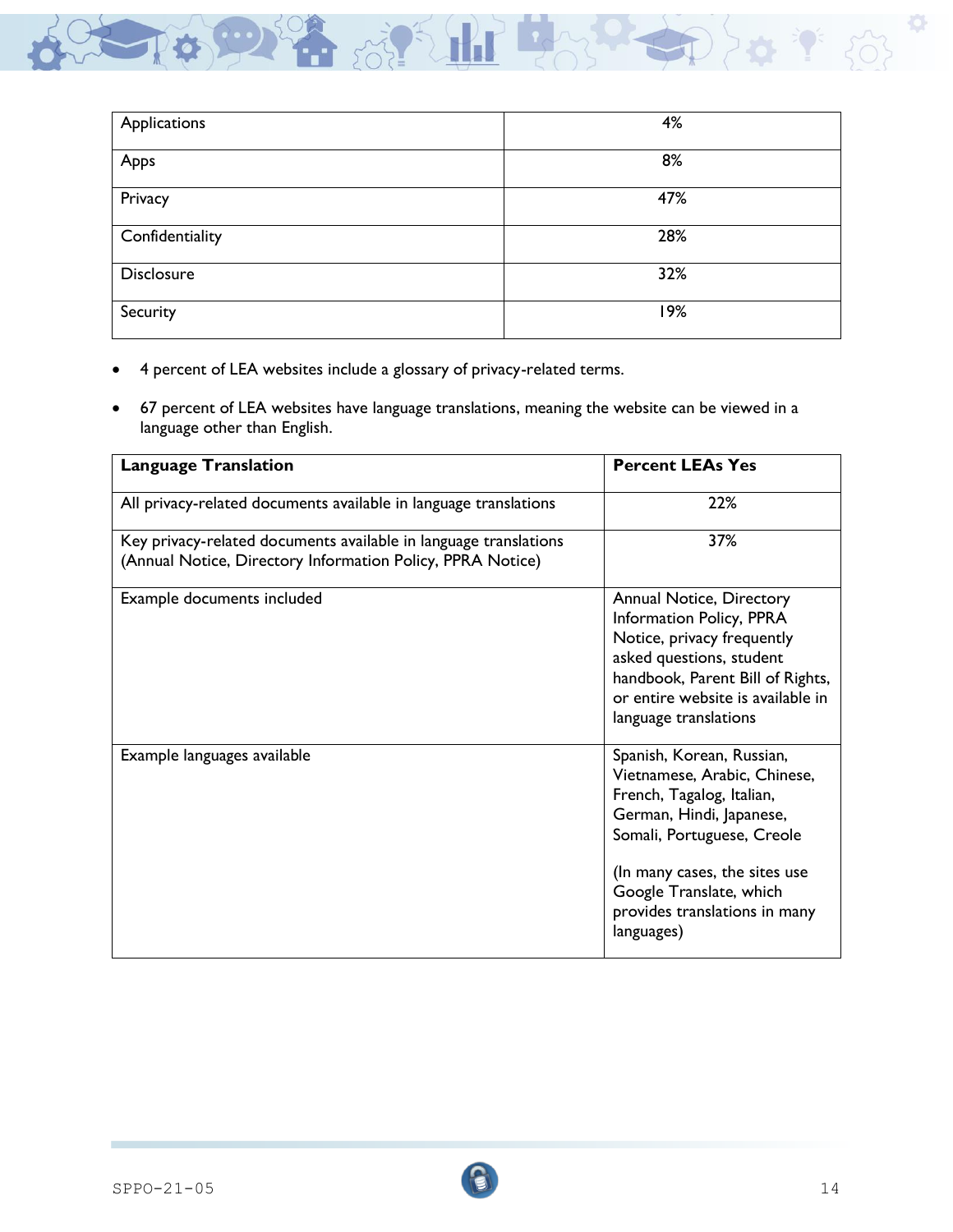

| Applications      | 4%  |
|-------------------|-----|
| Apps              | 8%  |
| Privacy           | 47% |
| Confidentiality   | 28% |
| <b>Disclosure</b> | 32% |
| Security          | 19% |

- 4 percent of LEA websites include a glossary of privacy-related terms.
- 67 percent of LEA websites have language translations, meaning the website can be viewed in a language other than English.

| <b>Language Translation</b>                                                                                                    | <b>Percent LEAs Yes</b>                                                                                                                                                                                                                                     |
|--------------------------------------------------------------------------------------------------------------------------------|-------------------------------------------------------------------------------------------------------------------------------------------------------------------------------------------------------------------------------------------------------------|
| All privacy-related documents available in language translations                                                               | 22%                                                                                                                                                                                                                                                         |
| Key privacy-related documents available in language translations<br>(Annual Notice, Directory Information Policy, PPRA Notice) | 37%                                                                                                                                                                                                                                                         |
| Example documents included                                                                                                     | Annual Notice, Directory<br>Information Policy, PPRA<br>Notice, privacy frequently<br>asked questions, student<br>handbook, Parent Bill of Rights,<br>or entire website is available in<br>language translations                                            |
| Example languages available                                                                                                    | Spanish, Korean, Russian,<br>Vietnamese, Arabic, Chinese,<br>French, Tagalog, Italian,<br>German, Hindi, Japanese,<br>Somali, Portuguese, Creole<br>(In many cases, the sites use<br>Google Translate, which<br>provides translations in many<br>languages) |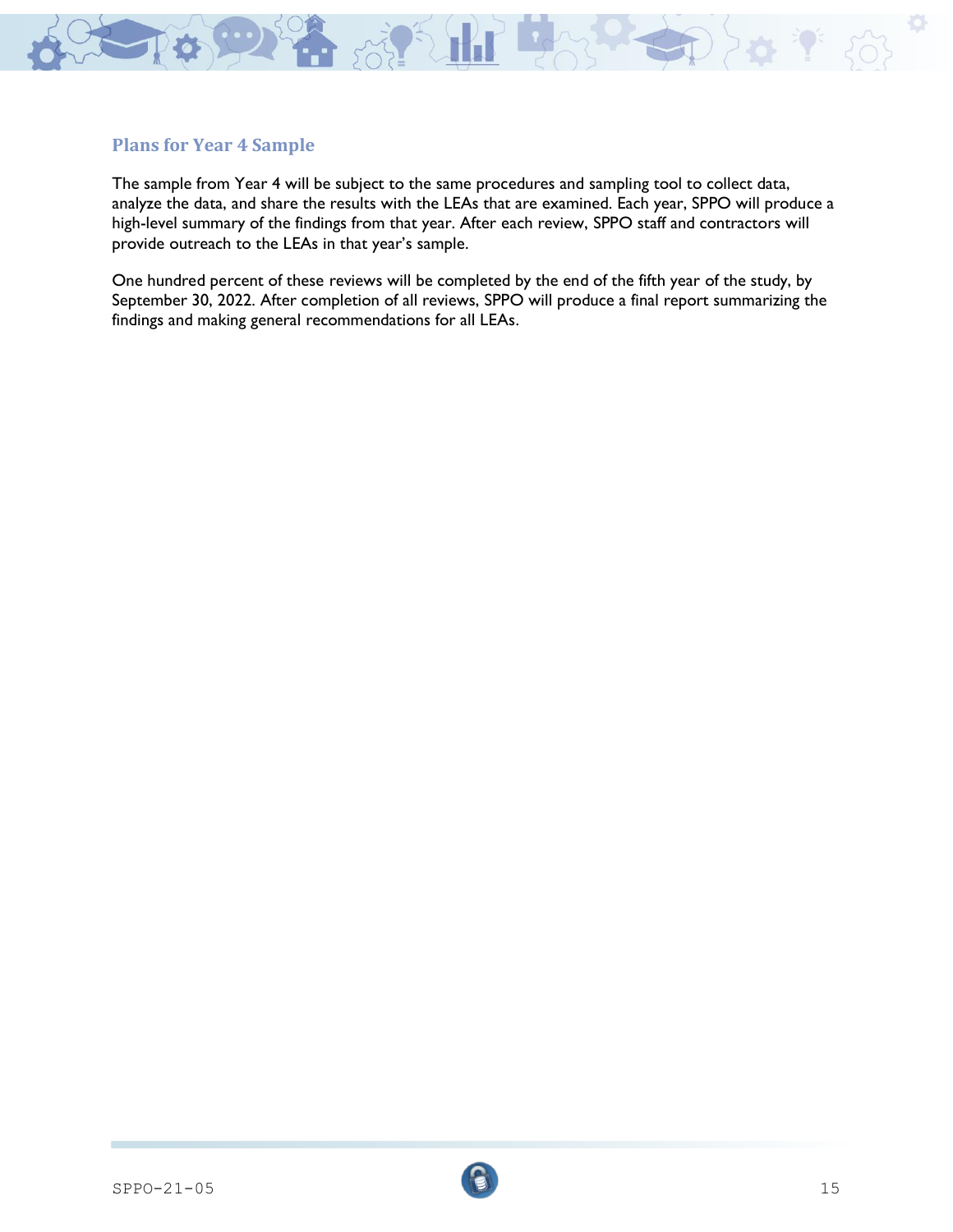

#### **Plans for Year 4 Sample**

The sample from Year 4 will be subject to the same procedures and sampling tool to collect data, analyze the data, and share the results with the LEAs that are examined. Each year, SPPO will produce a high-level summary of the findings from that year. After each review, SPPO staff and contractors will provide outreach to the LEAs in that year's sample.

One hundred percent of these reviews will be completed by the end of the fifth year of the study, by September 30, 2022. After completion of all reviews, SPPO will produce a final report summarizing the findings and making general recommendations for all LEAs.